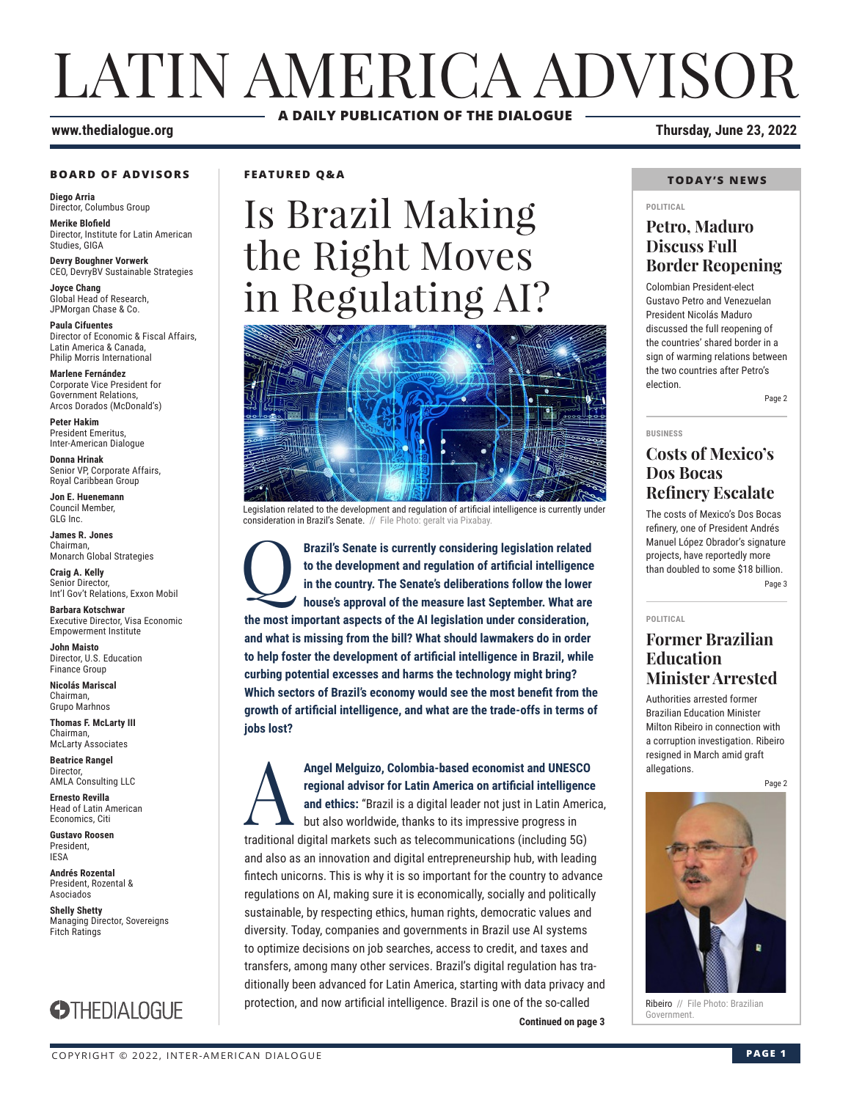# LATIN AMERICA ADVISOR **A DAILY PUBLICATION OF THE DIALOGUE**

### **BOARD OF ADVISORS**

**Diego Arria** Director, Columbus Group

**Merike Blofield** Director, Institute for Latin American Studies, GIGA

**Devry Boughner Vorwerk** CEO, DevryBV Sustainable Strategies

**Joyce Chang** Global Head of Research, JPMorgan Chase & Co.

**Paula Cifuentes** Director of Economic & Fiscal Affairs, Latin America & Canada, Philip Morris International

**Marlene Fernández** Corporate Vice President for Government Relations, Arcos Dorados (McDonald's)

**Peter Hakim** President Emeritus, Inter-American Dialogue

**Donna Hrinak** Senior VP, Corporate Affairs, Royal Caribbean Group

**Jon E. Huenemann** Council Member, GLG Inc.

**James R. Jones** Chairman, Monarch Global Strategies

**Craig A. Kelly** Senior Director, Int'l Gov't Relations, Exxon Mobil

**Barbara Kotschwar** Executive Director, Visa Economic Empowerment Institute

**John Maisto** Director, U.S. Education Finance Group

**Nicolás Mariscal** Chairman, Grupo Marhnos

**Thomas F. McLarty III** Chairman, McLarty Associates

**Beatrice Rangel**  Director, AMLA Consulting LLC

**Ernesto Revilla**  Head of Latin American

Economics, Citi **Gustavo Roosen** President, IESA

**Andrés Rozental**  President, Rozental & Asociados

**Shelly Shetty** Managing Director, Sovereigns Fitch Ratings



**FEATURED Q&A**

# Is Brazil Making the Right Moves in Regulating AI?



Legislation related to the development and regulation of artificial intelligence is currently under consideration in Brazil's Senate. // File Photo: geralt via Pixabay.

**Brazil's Senate is currently considering legislation related to the development and regulation of artificial intelligence in the country. The Senate's deliberations follow the lower house's approval of the measure last Se to the development and regulation of artificial intelligence in the country. The Senate's deliberations follow the lower house's approval of the measure last September. What are the most important aspects of the AI legislation under consideration, and what is missing from the bill? What should lawmakers do in order to help foster the development of artificial intelligence in Brazil, while curbing potential excesses and harms the technology might bring? Which sectors of Brazil's economy would see the most benefit from the growth of artificial intelligence, and what are the trade-offs in terms of jobs lost?**

**Continued on page 3** Angel Melguizo, Colombia-based economist and UNESCO regional advisor for Latin America on artificial intelligence and ethics: "Brazil is a digital leader not just in Latin America but also worldwide, thanks to its impressi **regional advisor for Latin America on artificial intelligence and ethics:** "Brazil is a digital leader not just in Latin America, but also worldwide, thanks to its impressive progress in traditional digital markets such as telecommunications (including 5G) and also as an innovation and digital entrepreneurship hub, with leading fintech unicorns. This is why it is so important for the country to advance regulations on AI, making sure it is economically, socially and politically sustainable, by respecting ethics, human rights, democratic values and diversity. Today, companies and governments in Brazil use AI systems to optimize decisions on job searches, access to credit, and taxes and transfers, among many other services. Brazil's digital regulation has traditionally been advanced for Latin America, starting with data privacy and protection, and now artificial intelligence. Brazil is one of the so-called

**www.thedialogue.org Thursday, June 23, 2022**

### **TODAY'S NEWS**

#### **POLITICAL**

### **Petro, Maduro Discuss Full Border Reopening**

Colombian President-elect Gustavo Petro and Venezuelan President Nicolás Maduro discussed the full reopening of the countries' shared border in a sign of warming relations between the two countries after Petro's election.

Page 2

#### **BUSINESS**

### **Costs of Mexico's Dos Bocas Refinery Escalate**

The costs of Mexico's Dos Bocas refinery, one of President Andrés Manuel López Obrador's signature projects, have reportedly more than doubled to some \$18 billion. Page 3

#### **POLITICAL**

### **Former Brazilian Education Minister Arrested**

Authorities arrested former Brazilian Education Minister Milton Ribeiro in connection with a corruption investigation. Ribeiro resigned in March amid graft allegations.

Page 2



Ribeiro // File Photo: Brazilian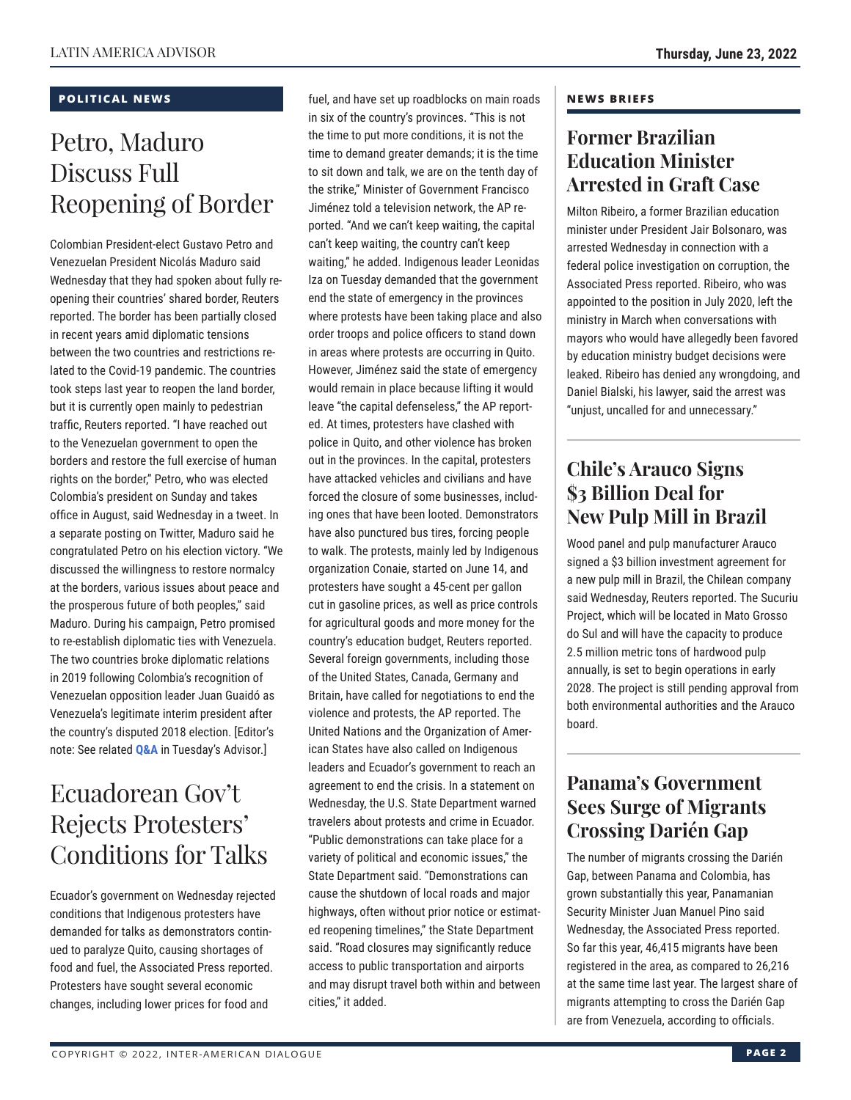### **POLITICAL NEWS**

# Petro, Maduro Discuss Full Reopening of Border

Colombian President-elect Gustavo Petro and Venezuelan President Nicolás Maduro said Wednesday that they had spoken about fully reopening their countries' shared border, Reuters reported. The border has been partially closed in recent years amid diplomatic tensions between the two countries and restrictions related to the Covid-19 pandemic. The countries took steps last year to reopen the land border, but it is currently open mainly to pedestrian traffic, Reuters reported. "I have reached out to the Venezuelan government to open the borders and restore the full exercise of human rights on the border," Petro, who was elected Colombia's president on Sunday and takes office in August, said Wednesday in a tweet. In a separate posting on Twitter, Maduro said he congratulated Petro on his election victory. "We discussed the willingness to restore normalcy at the borders, various issues about peace and the prosperous future of both peoples," said Maduro. During his campaign, Petro promised to re-establish diplomatic ties with Venezuela. The two countries broke diplomatic relations in 2019 following Colombia's recognition of Venezuelan opposition leader Juan Guaidó as Venezuela's legitimate interim president after the country's disputed 2018 election. [Editor's note: See related **[Q&A](https://www.thedialogue.org/wp-content/uploads/2022/06/LAA220621.pdf)** in Tuesday's Advisor.]

# Ecuadorean Gov't Rejects Protesters' Conditions for Talks

Ecuador's government on Wednesday rejected conditions that Indigenous protesters have demanded for talks as demonstrators continued to paralyze Quito, causing shortages of food and fuel, the Associated Press reported. Protesters have sought several economic changes, including lower prices for food and

fuel, and have set up roadblocks on main roads in six of the country's provinces. "This is not the time to put more conditions, it is not the time to demand greater demands; it is the time to sit down and talk, we are on the tenth day of the strike," Minister of Government Francisco Jiménez told a television network, the AP reported. "And we can't keep waiting, the capital can't keep waiting, the country can't keep waiting," he added. Indigenous leader Leonidas Iza on Tuesday demanded that the government end the state of emergency in the provinces where protests have been taking place and also order troops and police officers to stand down in areas where protests are occurring in Quito. However, Jiménez said the state of emergency would remain in place because lifting it would leave "the capital defenseless," the AP reported. At times, protesters have clashed with police in Quito, and other violence has broken out in the provinces. In the capital, protesters have attacked vehicles and civilians and have forced the closure of some businesses, including ones that have been looted. Demonstrators have also punctured bus tires, forcing people to walk. The protests, mainly led by Indigenous organization Conaie, started on June 14, and protesters have sought a 45-cent per gallon cut in gasoline prices, as well as price controls for agricultural goods and more money for the country's education budget, Reuters reported. Several foreign governments, including those of the United States, Canada, Germany and Britain, have called for negotiations to end the violence and protests, the AP reported. The United Nations and the Organization of American States have also called on Indigenous leaders and Ecuador's government to reach an agreement to end the crisis. In a statement on Wednesday, the U.S. State Department warned travelers about protests and crime in Ecuador. "Public demonstrations can take place for a variety of political and economic issues," the State Department said. "Demonstrations can cause the shutdown of local roads and major highways, often without prior notice or estimated reopening timelines," the State Department said. "Road closures may significantly reduce access to public transportation and airports and may disrupt travel both within and between cities," it added.

### **NEWS BRIEFS**

### **Former Brazilian Education Minister Arrested in Graft Case**

Milton Ribeiro, a former Brazilian education minister under President Jair Bolsonaro, was arrested Wednesday in connection with a federal police investigation on corruption, the Associated Press reported. Ribeiro, who was appointed to the position in July 2020, left the ministry in March when conversations with mayors who would have allegedly been favored by education ministry budget decisions were leaked. Ribeiro has denied any wrongdoing, and Daniel Bialski, his lawyer, said the arrest was "unjust, uncalled for and unnecessary."

### **Chile's Arauco Signs \$3 Billion Deal for New Pulp Mill in Brazil**

Wood panel and pulp manufacturer Arauco signed a \$3 billion investment agreement for a new pulp mill in Brazil, the Chilean company said Wednesday, Reuters reported. The Sucuriu Project, which will be located in Mato Grosso do Sul and will have the capacity to produce 2.5 million metric tons of hardwood pulp annually, is set to begin operations in early 2028. The project is still pending approval from both environmental authorities and the Arauco board.

### **Panama's Government Sees Surge of Migrants Crossing Darién Gap**

The number of migrants crossing the Darién Gap, between Panama and Colombia, has grown substantially this year, Panamanian Security Minister Juan Manuel Pino said Wednesday, the Associated Press reported. So far this year, 46,415 migrants have been registered in the area, as compared to 26,216 at the same time last year. The largest share of migrants attempting to cross the Darién Gap are from Venezuela, according to officials.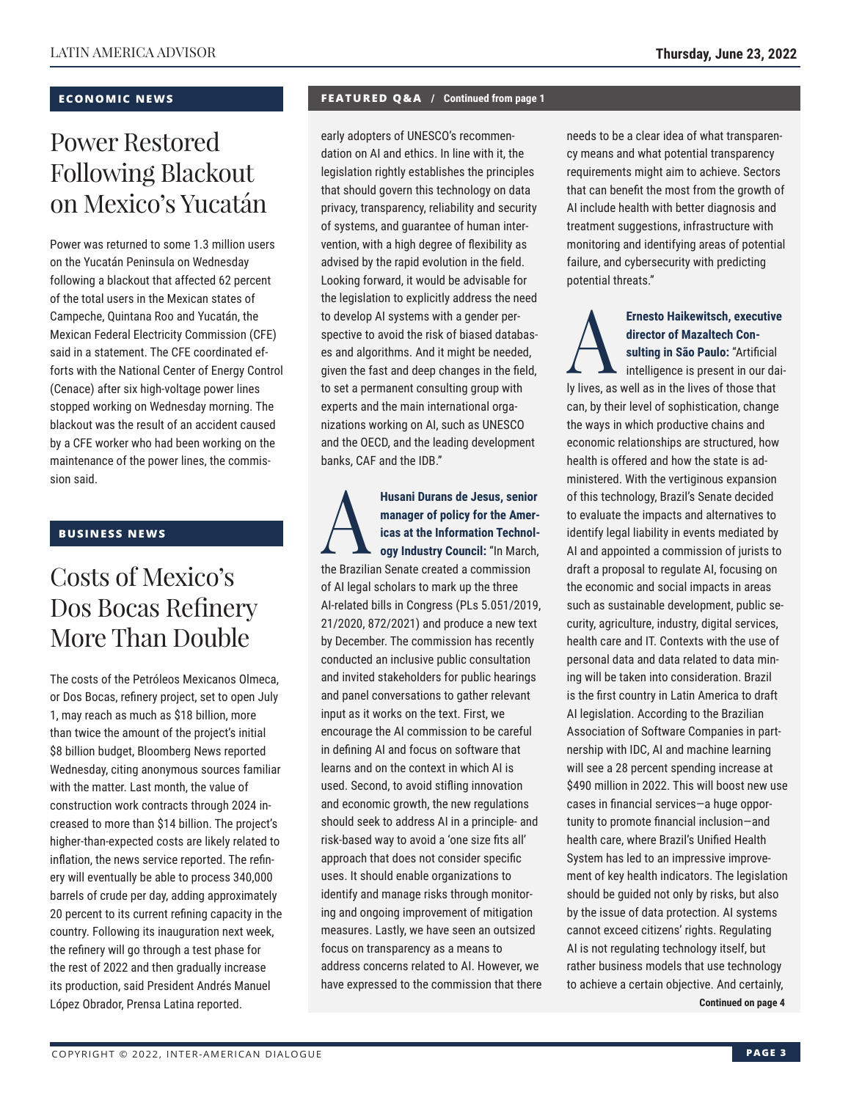### **ECONOMIC NEWS**

# Power Restored Following Blackout on Mexico's Yucatán

Power was returned to some 1.3 million users on the Yucatán Peninsula on Wednesday following a blackout that affected 62 percent of the total users in the Mexican states of Campeche, Quintana Roo and Yucatán, the Mexican Federal Electricity Commission (CFE) said in a statement. The CFE coordinated efforts with the National Center of Energy Control (Cenace) after six high-voltage power lines stopped working on Wednesday morning. The blackout was the result of an accident caused by a CFE worker who had been working on the maintenance of the power lines, the commission said.

### **BUSINESS NEWS**

## Costs of Mexico's Dos Bocas Refinery More Than Double

The costs of the Petróleos Mexicanos Olmeca, or Dos Bocas, refinery project, set to open July 1, may reach as much as \$18 billion, more than twice the amount of the project's initial \$8 billion budget, Bloomberg News reported Wednesday, citing anonymous sources familiar with the matter. Last month, the value of construction work contracts through 2024 increased to more than \$14 billion. The project's higher-than-expected costs are likely related to inflation, the news service reported. The refinery will eventually be able to process 340,000 barrels of crude per day, adding approximately 20 percent to its current refining capacity in the country. Following its inauguration next week, the refinery will go through a test phase for the rest of 2022 and then gradually increase its production, said President Andrés Manuel López Obrador, Prensa Latina reported.

### **FEATURED Q&A / Continued from page 1**

early adopters of UNESCO's recommendation on AI and ethics. In line with it, the legislation rightly establishes the principles that should govern this technology on data privacy, transparency, reliability and security of systems, and guarantee of human intervention, with a high degree of flexibility as advised by the rapid evolution in the field. Looking forward, it would be advisable for the legislation to explicitly address the need to develop AI systems with a gender perspective to avoid the risk of biased databases and algorithms. And it might be needed, given the fast and deep changes in the field, to set a permanent consulting group with experts and the main international organizations working on AI, such as UNESCO and the OECD, and the leading development banks, CAF and the IDB."

**Husani Durans de Jesus, senior<br>
manager of policy for the Amer-<br>
icas at the Information Technol-<br>
ogy Industry Council: "In March,<br>
the Prazilian Senate created a commission manager of policy for the Americas at the Information Technology Industry Council:** "In March, the Brazilian Senate created a commission of AI legal scholars to mark up the three AI-related bills in Congress (PLs 5.051/2019, 21/2020, 872/2021) and produce a new text by December. The commission has recently conducted an inclusive public consultation and invited stakeholders for public hearings and panel conversations to gather relevant input as it works on the text. First, we encourage the AI commission to be careful in defining AI and focus on software that learns and on the context in which AI is used. Second, to avoid stifling innovation and economic growth, the new regulations should seek to address AI in a principle- and risk-based way to avoid a 'one size fits all' approach that does not consider specific uses. It should enable organizations to identify and manage risks through monitoring and ongoing improvement of mitigation measures. Lastly, we have seen an outsized focus on transparency as a means to address concerns related to AI. However, we have expressed to the commission that there needs to be a clear idea of what transparency means and what potential transparency requirements might aim to achieve. Sectors that can benefit the most from the growth of AI include health with better diagnosis and treatment suggestions, infrastructure with monitoring and identifying areas of potential failure, and cybersecurity with predicting potential threats."

Ernesto Haikewitsch, executive<br>director of Mazaltech Con-<br>sulting in São Paulo: "Artificial<br>intelligence is present in our dai**director of Mazaltech Consulting in São Paulo:** "Artificial intelligence is present in our daily lives, as well as in the lives of those that can, by their level of sophistication, change the ways in which productive chains and economic relationships are structured, how health is offered and how the state is administered. With the vertiginous expansion of this technology, Brazil's Senate decided to evaluate the impacts and alternatives to identify legal liability in events mediated by AI and appointed a commission of jurists to draft a proposal to regulate AI, focusing on the economic and social impacts in areas such as sustainable development, public security, agriculture, industry, digital services, health care and IT. Contexts with the use of personal data and data related to data mining will be taken into consideration. Brazil is the first country in Latin America to draft AI legislation. According to the Brazilian Association of Software Companies in partnership with IDC, AI and machine learning will see a 28 percent spending increase at \$490 million in 2022. This will boost new use cases in financial services—a huge opportunity to promote financial inclusion—and health care, where Brazil's Unified Health System has led to an impressive improvement of key health indicators. The legislation should be guided not only by risks, but also by the issue of data protection. AI systems cannot exceed citizens' rights. Regulating AI is not regulating technology itself, but rather business models that use technology to achieve a certain objective. And certainly,

**Continued on page 4**